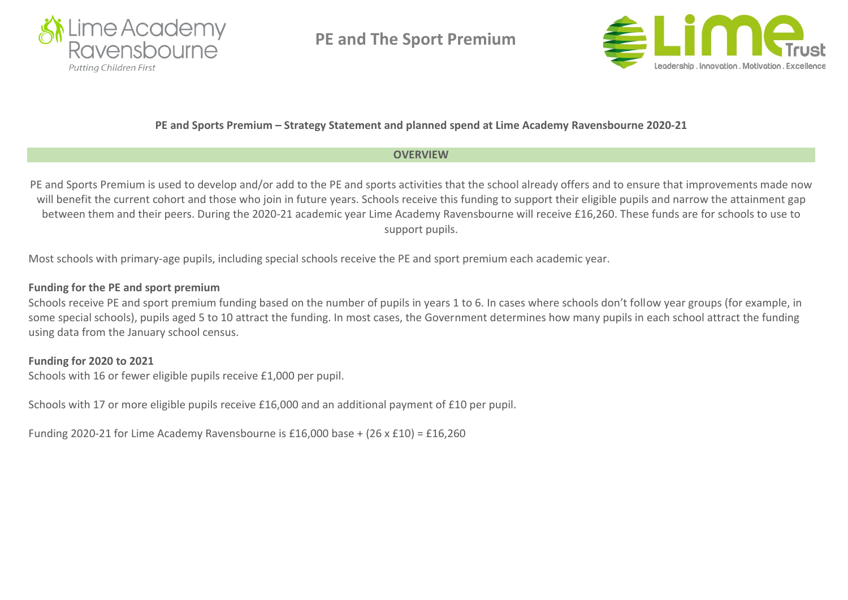

**PE and The Sport Premium** 



### **PE and Sports Premium – Strategy Statement and planned spend at Lime Academy Ravensbourne 2020-21**

## **OVERVIEW**

PE and Sports Premium is used to develop and/or add to the PE and sports activities that the school already offers and to ensure that improvements made now will benefit the current cohort and those who join in future years. Schools receive this funding to support their eligible pupils and narrow the attainment gap between them and their peers. During the 2020-21 academic year Lime Academy Ravensbourne will receive £16,260. These funds are for schools to use to support pupils.

Most schools with primary-age pupils, including special schools receive the PE and sport premium each academic year.

## **Funding for the PE and sport premium**

Schools receive PE and sport premium funding based on the number of pupils in years 1 to 6. In cases where schools don't follow year groups (for example, in some special schools), pupils aged 5 to 10 attract the funding. In most cases, the Government determines how many pupils in each school attract the funding using data from the January school census.

## **Funding for 2020 to 2021**

Schools with 16 or fewer eligible pupils receive £1,000 per pupil.

Schools with 17 or more eligible pupils receive £16,000 and an additional payment of £10 per pupil.

Funding 2020-21 for Lime Academy Ravensbourne is £16,000 base + (26 x £10) = £16,260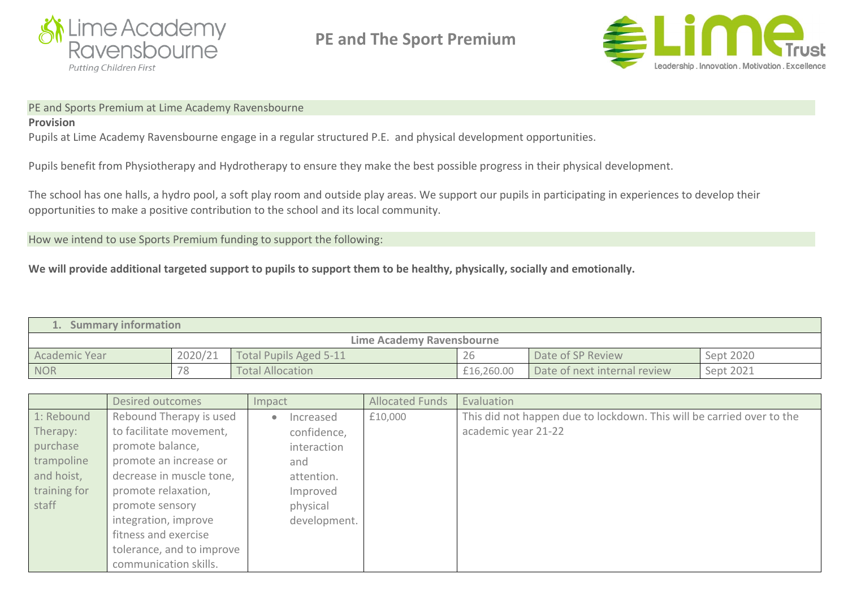

**PE and The Sport Premium** 



#### PE and Sports Premium at Lime Academy Ravensbourne

### **Provision**

Pupils at Lime Academy Ravensbourne engage in a regular structured P.E. and physical development opportunities.

Pupils benefit from Physiotherapy and Hydrotherapy to ensure they make the best possible progress in their physical development.

The school has one halls, a hydro pool, a soft play room and outside play areas. We support our pupils in participating in experiences to develop their opportunities to make a positive contribution to the school and its local community.

How we intend to use Sports Premium funding to support the following:

We will provide additional targeted support to pupils to support them to be healthy, physically, socially and emotionally.

| <b>Summary information</b> |         |                         |            |                              |           |  |  |  |
|----------------------------|---------|-------------------------|------------|------------------------------|-----------|--|--|--|
| Lime Academy Ravensbourne  |         |                         |            |                              |           |  |  |  |
| Academic Year              | 2020/21 | Total Pupils Aged 5-11  | 26         | Date of SP Review            | Sept 2020 |  |  |  |
| <b>NOR</b>                 | 78      | <b>Total Allocation</b> | £16,260.00 | Date of next internal review | Sept 2021 |  |  |  |

|              | Desired outcomes          | Impact                 | <b>Allocated Funds</b> | Evaluation                                                            |
|--------------|---------------------------|------------------------|------------------------|-----------------------------------------------------------------------|
| 1: Rebound   | Rebound Therapy is used   | Increased<br>$\bullet$ | £10,000                | This did not happen due to lockdown. This will be carried over to the |
| Therapy:     | to facilitate movement,   | confidence,            |                        | academic year 21-22                                                   |
| purchase     | promote balance,          | interaction            |                        |                                                                       |
| trampoline   | promote an increase or    | and                    |                        |                                                                       |
| and hoist,   | decrease in muscle tone,  | attention.             |                        |                                                                       |
| training for | promote relaxation,       | Improved               |                        |                                                                       |
| staff        | promote sensory           | physical               |                        |                                                                       |
|              | integration, improve      | development.           |                        |                                                                       |
|              | fitness and exercise      |                        |                        |                                                                       |
|              | tolerance, and to improve |                        |                        |                                                                       |
|              | communication skills.     |                        |                        |                                                                       |